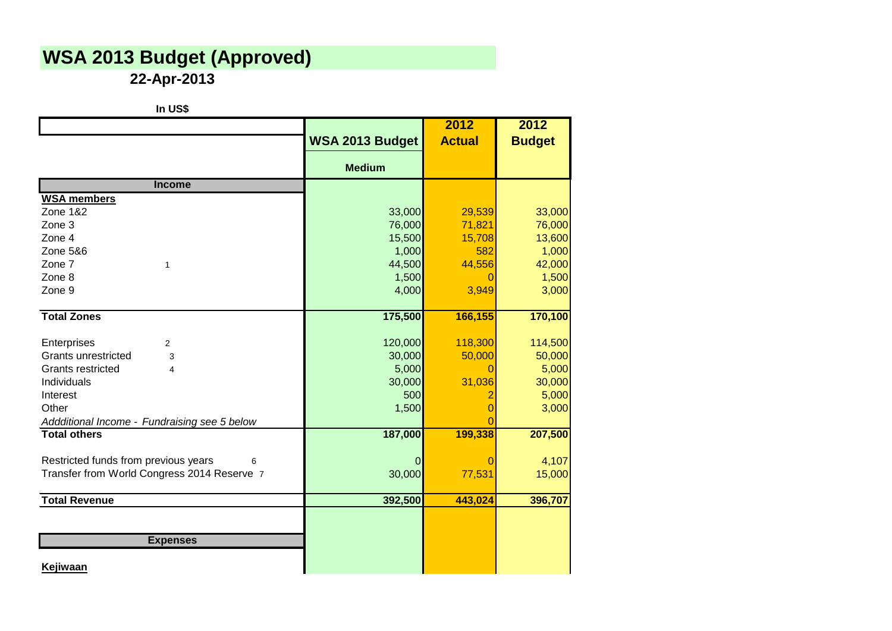## **WSA 2013 Budget (Approved)**

**22-Apr-2013**

| In US\$                                      |                 |               |               |
|----------------------------------------------|-----------------|---------------|---------------|
|                                              |                 | 2012          | 2012          |
|                                              | WSA 2013 Budget | <b>Actual</b> | <b>Budget</b> |
|                                              | <b>Medium</b>   |               |               |
| <b>Income</b>                                |                 |               |               |
| <b>WSA members</b>                           |                 |               |               |
| <b>Zone 1&amp;2</b>                          | 33,000          | 29,539        | 33,000        |
| Zone 3                                       | 76,000          | 71,821        | 76,000        |
| Zone 4                                       | 15,500          | 15,708        | 13,600        |
| <b>Zone 5&amp;6</b>                          | 1,000           | 582           | 1,000         |
| Zone 7<br>1                                  | 44,500          | 44,556        | 42,000        |
| Zone 8                                       | 1,500           | 0             | 1,500         |
| Zone 9                                       | 4,000           | 3,949         | 3,000         |
| <b>Total Zones</b>                           | 175,500         | 166,155       | 170,100       |
| Enterprises<br>$\overline{2}$                | 120,000         | 118,300       | 114,500       |
| <b>Grants unrestricted</b><br>3              | 30,000          | 50,000        | 50,000        |
| <b>Grants restricted</b><br>4                | 5,000           | n             | 5,000         |
| Individuals                                  | 30,000          | 31,036        | 30,000        |
| Interest                                     | 500             |               | 5,000         |
| Other                                        | 1,500           |               | 3,000         |
| Addditional Income - Fundraising see 5 below |                 |               |               |
| <b>Total others</b>                          | 187,000         | 199,338       | 207,500       |
| Restricted funds from previous years<br>6    | 0               | 0             | 4,107         |
| Transfer from World Congress 2014 Reserve 7  | 30,000          | 77,531        | 15,000        |
| <b>Total Revenue</b>                         | 392,500         | 443,024       | 396,707       |
|                                              |                 |               |               |
| <b>Expenses</b>                              |                 |               |               |
|                                              |                 |               |               |
| <b>Kejiwaan</b>                              |                 |               |               |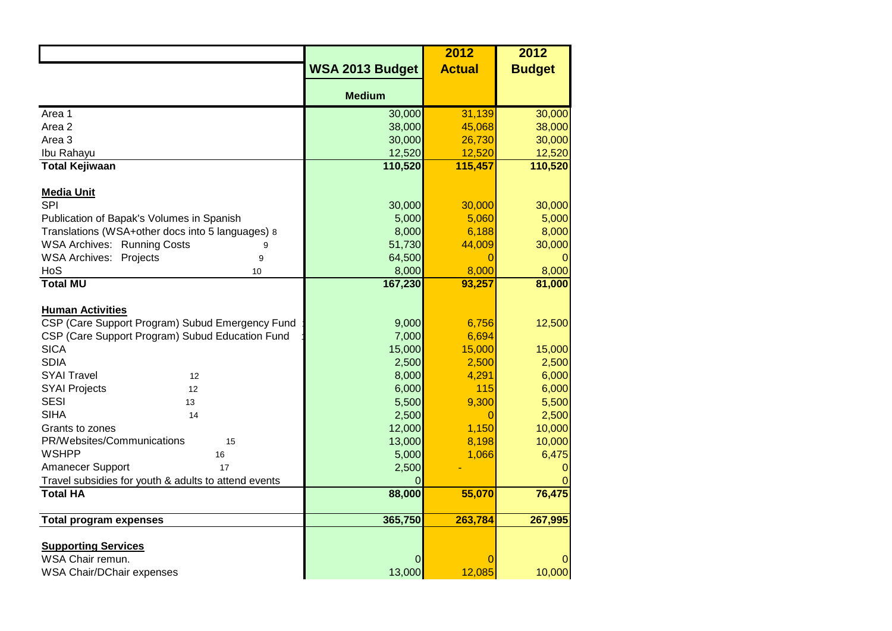|                                                      |                        | 2012          | 2012          |
|------------------------------------------------------|------------------------|---------------|---------------|
|                                                      | <b>WSA 2013 Budget</b> | <b>Actual</b> | <b>Budget</b> |
|                                                      |                        |               |               |
|                                                      | <b>Medium</b>          |               |               |
| Area 1                                               | 30,000                 | 31,139        | 30,000        |
| Area 2                                               | 38,000                 | 45,068        | 38,000        |
| Area 3                                               | 30,000                 | 26,730        | 30,000        |
| Ibu Rahayu                                           | 12,520                 | 12,520        | 12,520        |
| <b>Total Kejiwaan</b>                                | 110,520                | 115,457       | 110,520       |
|                                                      |                        |               |               |
| <b>Media Unit</b>                                    |                        |               |               |
| SPI                                                  | 30,000                 | 30,000        | 30,000        |
| Publication of Bapak's Volumes in Spanish            | 5,000                  | 5,060         | 5,000         |
| Translations (WSA+other docs into 5 languages) 8     | 8,000                  | 6,188         | 8,000         |
| <b>WSA Archives: Running Costs</b><br>9              | 51,730                 | 44,009        | 30,000        |
| <b>WSA Archives: Projects</b><br>9                   | 64,500                 | 0             |               |
| HoS<br>10                                            | 8,000                  | 8,000         | 8,000         |
| <b>Total MU</b>                                      | 167,230                | 93,257        | 81,000        |
|                                                      |                        |               |               |
| <b>Human Activities</b>                              |                        |               |               |
| CSP (Care Support Program) Subud Emergency Fund      | 9,000                  | 6,756         | 12,500        |
| CSP (Care Support Program) Subud Education Fund      | 7,000                  | 6,694         |               |
| <b>SICA</b>                                          | 15,000                 | 15,000        | 15,000        |
| <b>SDIA</b>                                          | 2,500                  | 2,500         | 2,500         |
| <b>SYAI Travel</b><br>12                             | 8,000                  | 4,291         | 6,000         |
| <b>SYAI Projects</b><br>12                           | 6,000                  | 115           | 6,000         |
| <b>SESI</b><br>13                                    | 5,500                  | 9,300         | 5,500         |
| <b>SIHA</b><br>14                                    | 2,500                  | $\mathbf 0$   | 2,500         |
| Grants to zones                                      | 12,000                 | 1,150         | 10,000        |
| PR/Websites/Communications<br>15                     | 13,000                 | 8,198         | 10,000        |
| <b>WSHPP</b><br>16                                   | 5,000                  | 1,066         | 6,475         |
| Amanecer Support<br>17                               | 2,500                  |               |               |
| Travel subsidies for youth & adults to attend events | O                      |               |               |
| <b>Total HA</b>                                      | 88,000                 | 55,070        | 76,475        |
|                                                      |                        |               |               |
| <b>Total program expenses</b>                        | 365,750                | 263,784       | 267,995       |
|                                                      |                        |               |               |
| <b>Supporting Services</b>                           |                        |               |               |
| WSA Chair remun.                                     | 0                      | 0             |               |
| WSA Chair/DChair expenses                            | 13,000                 | 12,085        | 10,000        |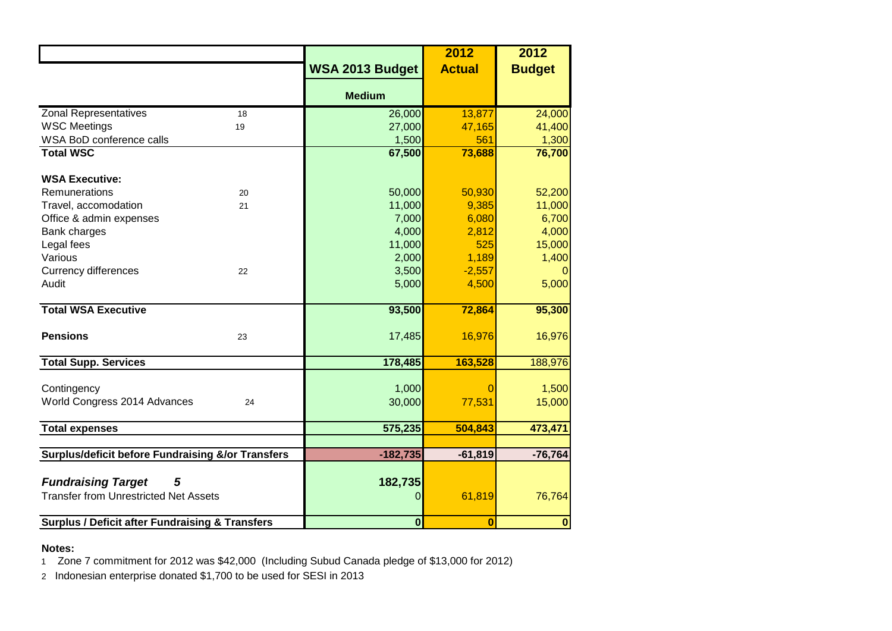|                                                                                |    |                        | 2012           | 2012             |
|--------------------------------------------------------------------------------|----|------------------------|----------------|------------------|
|                                                                                |    | <b>WSA 2013 Budget</b> | <b>Actual</b>  | <b>Budget</b>    |
|                                                                                |    | <b>Medium</b>          |                |                  |
| <b>Zonal Representatives</b>                                                   | 18 | 26,000                 | 13,877         | 24,000           |
| <b>WSC Meetings</b>                                                            | 19 | 27,000                 | 47,165         | 41,400           |
| WSA BoD conference calls                                                       |    | 1,500                  | 561            | 1,300            |
| <b>Total WSC</b>                                                               |    | 67,500                 | 73,688         | 76,700           |
| <b>WSA Executive:</b>                                                          |    |                        |                |                  |
| Remunerations                                                                  | 20 | 50,000                 | 50,930         | 52,200           |
| Travel, accomodation                                                           | 21 | 11,000                 | 9,385          | 11,000           |
| Office & admin expenses                                                        |    | 7,000                  | 6,080          | 6,700            |
| Bank charges                                                                   |    | 4,000                  | 2,812          | 4,000            |
| Legal fees                                                                     |    | 11,000                 | 525            | 15,000           |
| Various                                                                        |    | 2,000                  | 1,189          | 1,400            |
| <b>Currency differences</b>                                                    | 22 | 3,500                  | $-2,557$       |                  |
| Audit                                                                          |    | 5,000                  | 4,500          | 5,000            |
| <b>Total WSA Executive</b>                                                     |    | 93,500                 | 72,864         | 95,300           |
| <b>Pensions</b>                                                                | 23 | 17,485                 | 16,976         | 16,976           |
| <b>Total Supp. Services</b>                                                    |    | 178,485                | 163,528        | 188,976          |
| Contingency                                                                    |    | 1,000                  |                | 1,500            |
| World Congress 2014 Advances                                                   | 24 | 30,000                 | 77,531         | 15,000           |
| <b>Total expenses</b>                                                          |    | 575,235                | 504,843        | 473,471          |
|                                                                                |    |                        |                |                  |
| <b>Surplus/deficit before Fundraising &amp;/or Transfers</b>                   |    | $-182,735$             | $-61,819$      | $-76,764$        |
| <b>Fundraising Target</b><br>5<br><b>Transfer from Unrestricted Net Assets</b> |    | 182,735<br>0           | 61,819         | 76,764           |
| <b>Surplus / Deficit after Fundraising &amp; Transfers</b>                     |    | $\mathbf{0}$           | $\overline{0}$ | $\boldsymbol{0}$ |

## **Notes:**

1 Zone 7 commitment for 2012 was \$42,000 (Including Subud Canada pledge of \$13,000 for 2012)

2 Indonesian enterprise donated \$1,700 to be used for SESI in 2013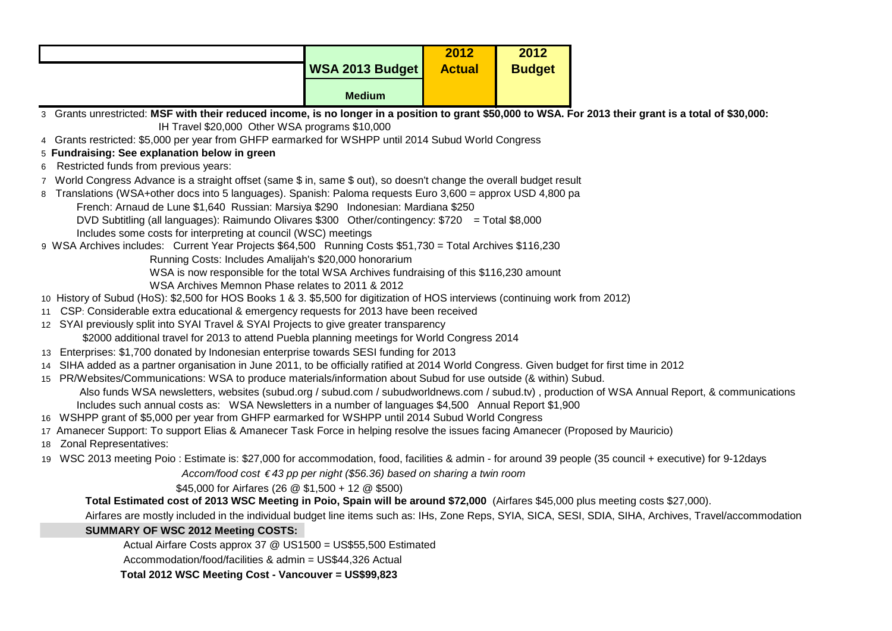|                                                                                                                                                                     |                        | 2012          | 2012          |                                                                                                                                                        |
|---------------------------------------------------------------------------------------------------------------------------------------------------------------------|------------------------|---------------|---------------|--------------------------------------------------------------------------------------------------------------------------------------------------------|
|                                                                                                                                                                     | <b>WSA 2013 Budget</b> | <b>Actual</b> | <b>Budget</b> |                                                                                                                                                        |
|                                                                                                                                                                     | <b>Medium</b>          |               |               |                                                                                                                                                        |
| 3 Grants unrestricted: MSF with their reduced income, is no longer in a position to grant \$50,000 to WSA. For 2013 their grant is a total of \$30,000:             |                        |               |               |                                                                                                                                                        |
| IH Travel \$20,000 Other WSA programs \$10,000                                                                                                                      |                        |               |               |                                                                                                                                                        |
| 4 Grants restricted: \$5,000 per year from GHFP earmarked for WSHPP until 2014 Subud World Congress                                                                 |                        |               |               |                                                                                                                                                        |
| 5 Fundraising: See explanation below in green                                                                                                                       |                        |               |               |                                                                                                                                                        |
| 6 Restricted funds from previous years:                                                                                                                             |                        |               |               |                                                                                                                                                        |
| 7 World Congress Advance is a straight offset (same \$ in, same \$ out), so doesn't change the overall budget result                                                |                        |               |               |                                                                                                                                                        |
| 8 Translations (WSA+other docs into 5 languages). Spanish: Paloma requests Euro 3,600 = approx USD 4,800 pa                                                         |                        |               |               |                                                                                                                                                        |
| French: Arnaud de Lune \$1,640 Russian: Marsiya \$290 Indonesian: Mardiana \$250                                                                                    |                        |               |               |                                                                                                                                                        |
| DVD Subtitling (all languages): Raimundo Olivares \$300 Other/contingency: \$720 = Total \$8,000                                                                    |                        |               |               |                                                                                                                                                        |
| Includes some costs for interpreting at council (WSC) meetings                                                                                                      |                        |               |               |                                                                                                                                                        |
| 9 WSA Archives includes: Current Year Projects \$64,500 Running Costs \$51,730 = Total Archives \$116,230<br>Running Costs: Includes Amalijah's \$20,000 honorarium |                        |               |               |                                                                                                                                                        |
| WSA is now responsible for the total WSA Archives fundraising of this \$116,230 amount                                                                              |                        |               |               |                                                                                                                                                        |
| WSA Archives Memnon Phase relates to 2011 & 2012                                                                                                                    |                        |               |               |                                                                                                                                                        |
| 10 History of Subud (HoS): \$2,500 for HOS Books 1 & 3. \$5,500 for digitization of HOS interviews (continuing work from 2012)                                      |                        |               |               |                                                                                                                                                        |
| 11 CSP: Considerable extra educational & emergency requests for 2013 have been received                                                                             |                        |               |               |                                                                                                                                                        |
| 12 SYAI previously split into SYAI Travel & SYAI Projects to give greater transparency                                                                              |                        |               |               |                                                                                                                                                        |
| \$2000 additional travel for 2013 to attend Puebla planning meetings for World Congress 2014                                                                        |                        |               |               |                                                                                                                                                        |
| 13 Enterprises: \$1,700 donated by Indonesian enterprise towards SESI funding for 2013                                                                              |                        |               |               |                                                                                                                                                        |
| 14 SIHA added as a partner organisation in June 2011, to be officially ratified at 2014 World Congress. Given budget for first time in 2012                         |                        |               |               |                                                                                                                                                        |
| 15 PR/Websites/Communications: WSA to produce materials/information about Subud for use outside (& within) Subud.                                                   |                        |               |               |                                                                                                                                                        |
| Also funds WSA newsletters, websites (subud.org / subud.com / subudworldnews.com / subud.tv), production of WSA Annual Report, & communications                     |                        |               |               |                                                                                                                                                        |
| Includes such annual costs as: WSA Newsletters in a number of languages \$4,500 Annual Report \$1,900                                                               |                        |               |               |                                                                                                                                                        |
| 16 WSHPP grant of \$5,000 per year from GHFP earmarked for WSHPP until 2014 Subud World Congress                                                                    |                        |               |               |                                                                                                                                                        |
| 17 Amanecer Support: To support Elias & Amanecer Task Force in helping resolve the issues facing Amanecer (Proposed by Mauricio)                                    |                        |               |               |                                                                                                                                                        |
| 18 Zonal Representatives:                                                                                                                                           |                        |               |               |                                                                                                                                                        |
| 19 WSC 2013 meeting Poio: Estimate is: \$27,000 for accommodation, food, facilities & admin - for around 39 people (35 council + executive) for 9-12days            |                        |               |               |                                                                                                                                                        |
| Accom/food cost €43 pp per night (\$56.36) based on sharing a twin room                                                                                             |                        |               |               |                                                                                                                                                        |
| \$45,000 for Airfares (26 $@$ \$1,500 + 12 $@$ \$500)                                                                                                               |                        |               |               |                                                                                                                                                        |
| Total Estimated cost of 2013 WSC Meeting in Poio, Spain will be around \$72,000 (Airfares \$45,000 plus meeting costs \$27,000).                                    |                        |               |               |                                                                                                                                                        |
|                                                                                                                                                                     |                        |               |               | Airfares are mostly included in the individual budget line items such as: IHs, Zone Reps, SYIA, SICA, SESI, SDIA, SIHA, Archives, Travel/accommodation |
| <b>SUMMARY OF WSC 2012 Meeting COSTS:</b>                                                                                                                           |                        |               |               |                                                                                                                                                        |
| Actual Airfare Costs approx 37 @ US1500 = US\$55,500 Estimated                                                                                                      |                        |               |               |                                                                                                                                                        |
| Accommodation/food/facilities & admin = US\$44,326 Actual                                                                                                           |                        |               |               |                                                                                                                                                        |

 **Total 2012 WSC Meeting Cost - Vancouver = US\$99,823**